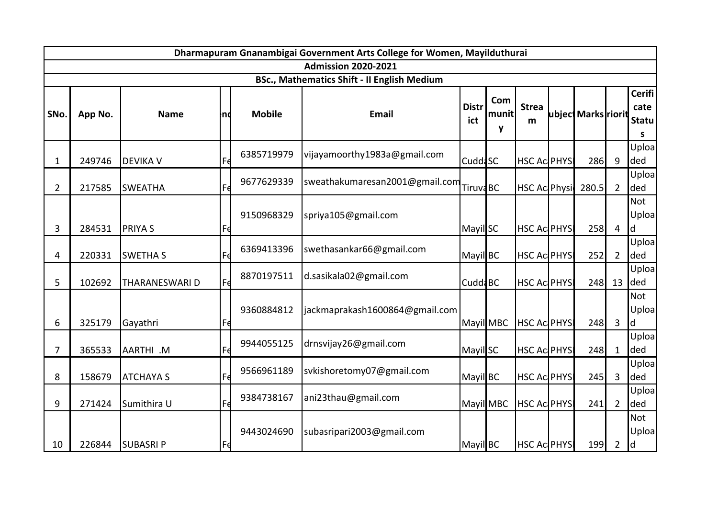| Dharmapuram Gnanambigai Government Arts College for Women, Mayilduthurai |                                                    |                  |           |               |                                |                     |                   |                      |  |                     |                |                                            |
|--------------------------------------------------------------------------|----------------------------------------------------|------------------|-----------|---------------|--------------------------------|---------------------|-------------------|----------------------|--|---------------------|----------------|--------------------------------------------|
|                                                                          |                                                    |                  |           |               | <b>Admission 2020-2021</b>     |                     |                   |                      |  |                     |                |                                            |
|                                                                          | <b>BSc., Mathematics Shift - II English Medium</b> |                  |           |               |                                |                     |                   |                      |  |                     |                |                                            |
| SNo.                                                                     | App No.                                            | <b>Name</b>      | Ind       | <b>Mobile</b> | <b>Email</b>                   | <b>Distr</b><br>ict | Com<br>munit<br>y | <b>Strea</b><br>m    |  | ubject Marks riorit |                | <b>Cerifi</b><br>cate<br><b>Statu</b><br>S |
| $\mathbf 1$                                                              | 249746                                             | <b>DEVIKA V</b>  |           | 6385719979    | vijayamoorthy1983a@gmail.com   | Cudd <sub>3</sub> C |                   | <b>HSC Ac PHYSI</b>  |  | 286                 | 9              | Uploa<br>ded                               |
| $\overline{2}$                                                           | 217585                                             | <b>SWEATHA</b>   | Fd        | 9677629339    | sweathakumaresan2001@gmail.com | <b>TiruvaBC</b>     |                   | <b>HSC Ac Physic</b> |  | 280.5               | $\overline{2}$ | Uploa<br>ded                               |
| 3                                                                        | 284531                                             | <b>PRIYAS</b>    | rθ        | 9150968329    | spriya105@gmail.com            | Mayil SC            |                   | <b>HSC Ac PHYS</b>   |  | 258                 | $\overline{4}$ | Not<br>Uploa<br>ld.                        |
| 4                                                                        | 220331                                             | <b>SWETHA S</b>  | Fđ        | 6369413396    | swethasankar66@gmail.com       | Mayil BC            |                   | <b>HSC Ac PHYSI</b>  |  | 252                 | $\overline{2}$ | Uploal<br>ded                              |
| 5                                                                        | 102692                                             | THARANESWARI D   | Fe        | 8870197511    | d.sasikala02@gmail.com         | Cudd <sup>BC</sup>  |                   | <b>HSC Ac PHYS</b>   |  | 248                 | 13             | Uploa<br>ded                               |
| 6                                                                        | 325179                                             | Gayathri         | Fđ        | 9360884812    | jackmaprakash1600864@gmail.com | Mayil MBC           |                   | <b>HSC Ac PHYSI</b>  |  | 248                 | 3              | Not<br>Uploa<br>ld.                        |
| $\overline{7}$                                                           | 365533                                             | AARTHI .M        | Fd        | 9944055125    | drnsvijay26@gmail.com          | Mayil SC            |                   | <b>HSC Ac PHYSI</b>  |  | 248                 | $\mathbf{1}$   | Uploa<br>ded                               |
| 8                                                                        | 158679                                             | <b>ATCHAYA S</b> | Fe        | 9566961189    | svkishoretomy07@gmail.com      | Mayil BC            |                   | <b>HSC Ac PHYSI</b>  |  | 245                 | 3              | Uploa<br>ded                               |
| 9                                                                        | 271424                                             | Sumithira U      | Fd        | 9384738167    | ani23thau@gmail.com            | Mayil MBC           |                   | <b>HSC Ac PHYSI</b>  |  | 241                 | $\overline{2}$ | Uploa<br>ded                               |
| 10                                                                       |                                                    | 226844 SUBASRIP  | <b>Fe</b> | 9443024690    | subasripari2003@gmail.com      | Mayil BC            |                   | <b>HSC Ac PHYSI</b>  |  | 199                 | $2^{\circ}$    | Not<br>Uploa<br>$\mathsf{Id}$              |